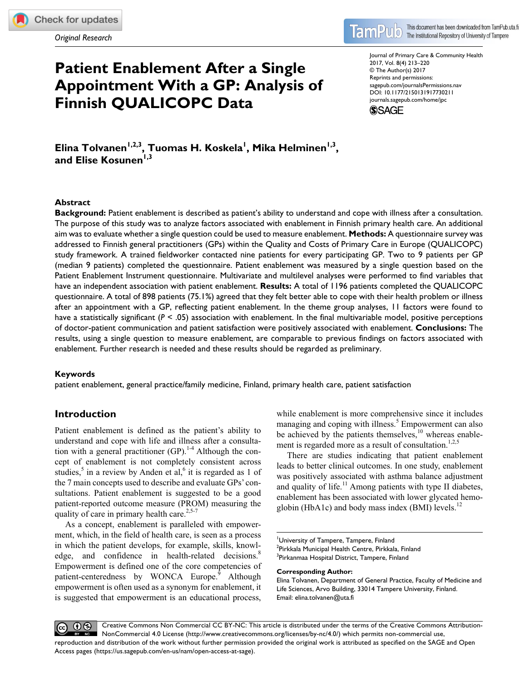**[730211](http://crossmark.crossref.org/dialog/?doi=10.1177%2F2150131917730211&domain=pdf&date_stamp=2017-09-15)**JPCXXX10.1177/2150131917730211Journal of Primary Care & Community Health**Tolvanen et al**

*Original Research*

#### This document has been downloaded from TamPub.uta.fi **lam** The Institutional Repository of University of Tampere

# **Patient Enablement After a Single Appointment With a GP: Analysis of Finnish QUALICOPC Data**

Journal of Primary Care & Community Health 2017, Vol. 8(4) 213–220 © The Author(s) 2017 Reprints and permissions: [sagepub.com/journalsPermissions.nav](https://us.sagepub.com/en-us/journals-permissions) https://doi.org/10.1177/2150131917730211 DOI: 10.1177/2150131917730211 [journals.sagepub.com/home/jpc](https://journals.sagepub.com/home/jpc) **SSAGE** 

Elina Tolvanen<sup>1,2,3</sup>, Tuomas H. Koskela<sup>l</sup>, Mika Helminen<sup>1,3</sup>, and Elise Kosunen<sup>1,3</sup>

## **Abstract**

**Background:** Patient enablement is described as patient's ability to understand and cope with illness after a consultation. The purpose of this study was to analyze factors associated with enablement in Finnish primary health care. An additional aim was to evaluate whether a single question could be used to measure enablement. **Methods:** A questionnaire survey was addressed to Finnish general practitioners (GPs) within the Quality and Costs of Primary Care in Europe (QUALICOPC) study framework. A trained fieldworker contacted nine patients for every participating GP. Two to 9 patients per GP (median 9 patients) completed the questionnaire. Patient enablement was measured by a single question based on the Patient Enablement Instrument questionnaire. Multivariate and multilevel analyses were performed to find variables that have an independent association with patient enablement. **Results:** A total of 1196 patients completed the QUALICOPC questionnaire. A total of 898 patients (75.1%) agreed that they felt better able to cope with their health problem or illness after an appointment with a GP, reflecting patient enablement. In the theme group analyses, 11 factors were found to have a statistically significant ( $P < .05$ ) association with enablement. In the final multivariable model, positive perceptions of doctor-patient communication and patient satisfaction were positively associated with enablement. **Conclusions:** The results, using a single question to measure enablement, are comparable to previous findings on factors associated with enablement. Further research is needed and these results should be regarded as preliminary.

## **Keywords**

patient enablement, general practice/family medicine, Finland, primary health care, patient satisfaction

# **Introduction**

Patient enablement is defined as the patient's ability to understand and cope with life and illness after a consultation with a general practitioner  $(GP)$ .<sup>1-4</sup> Although the concept of enablement is not completely consistent across studies,<sup>5</sup> in a review by Anden et al,<sup>6</sup> it is regarded as 1 of the 7 main concepts used to describe and evaluate GPs' consultations. Patient enablement is suggested to be a good patient-reported outcome measure (PROM) measuring the quality of care in primary health care.<sup>2,5-7</sup>

As a concept, enablement is paralleled with empowerment, which, in the field of health care, is seen as a process in which the patient develops, for example, skills, knowledge, and confidence in health-related decisions.<sup>8</sup> Empowerment is defined one of the core competencies of patient-centeredness by WONCA Europe.<sup>9</sup> Although empowerment is often used as a synonym for enablement, it is suggested that empowerment is an educational process,

while enablement is more comprehensive since it includes managing and coping with illness.<sup>5</sup> Empowerment can also be achieved by the patients themselves, $10$  whereas enablement is regarded more as a result of consultation.<sup>1,2,5</sup>

There are studies indicating that patient enablement leads to better clinical outcomes. In one study, enablement was positively associated with asthma balance adjustment and quality of life.<sup>11</sup> Among patients with type II diabetes, enablement has been associated with lower glycated hemoglobin (HbA1c) and body mass index (BMI) levels. $^{12}$ 

University of Tampere, Tampere, Finland <sup>2</sup>Pirkkala Municipal Health Centre, Pirkkala, Finland <sup>3</sup>Pirkanmaa Hospital District, Tampere, Finland

#### **Corresponding Author:**

Elina Tolvanen, Department of General Practice, Faculty of Medicine and Life Sciences, Arvo Building, 33014 Tampere University, Finland. Email: [elina.tolvanen@uta.fi](mailto:elina.tolvanen@uta.fi)

Creative Commons Non Commercial CC BY-NC: This article is distributed under the terms of the Creative Commons Attribution- $\odot$ NonCommercial 4.0 License (http://www.creativecommons.org/licenses/by-nc/4.0/) which permits non-commercial use, reproduction and distribution of the work without further permission provided the original work is attributed as specified on the SAGE and Open Access pages (https://us.sagepub.com/en-us/nam/open-access-at-sage).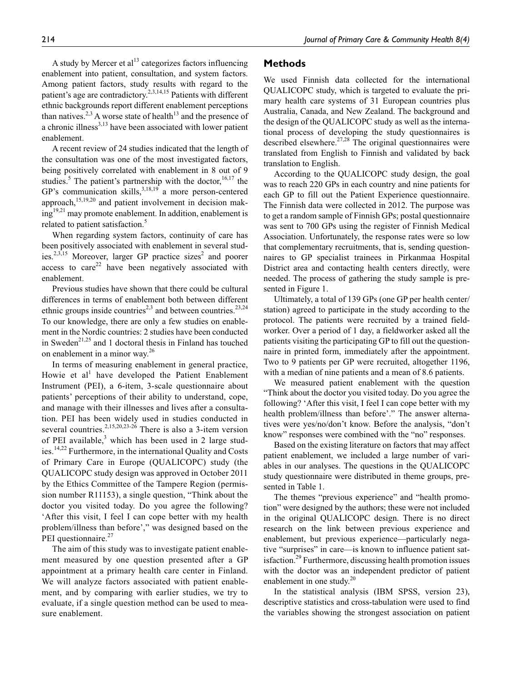A study by Mercer et  $al<sup>13</sup>$  categorizes factors influencing enablement into patient, consultation, and system factors. Among patient factors, study results with regard to the patient's age are contradictory.<sup>2,3,14,15</sup> Patients with different ethnic backgrounds report different enablement perceptions than natives.<sup>2,3</sup> A worse state of health<sup>13</sup> and the presence of a chronic illness $3,13$  have been associated with lower patient enablement.

A recent review of 24 studies indicated that the length of the consultation was one of the most investigated factors, being positively correlated with enablement in 8 out of 9 studies.<sup>5</sup> The patient's partnership with the doctor,  $16,17$  the GP's communication skills,  $3,18,19$  a more person-centered approach, $15,19,20$  and patient involvement in decision making<sup>19,21</sup> may promote enablement. In addition, enablement is related to patient satisfaction.<sup>5</sup>

When regarding system factors, continuity of care has been positively associated with enablement in several studies.<sup>2,3,15</sup> Moreover, larger GP practice sizes<sup>2</sup> and poorer access to care<sup>22</sup> have been negatively associated with enablement.

Previous studies have shown that there could be cultural differences in terms of enablement both between different ethnic groups inside countries<sup>2,3</sup> and between countries.<sup>23,24</sup> To our knowledge, there are only a few studies on enablement in the Nordic countries: 2 studies have been conducted in Sweden<sup>21,25</sup> and 1 doctoral thesis in Finland has touched on enablement in a minor way.<sup>26</sup>

In terms of measuring enablement in general practice, Howie et  $al<sup>1</sup>$  have developed the Patient Enablement Instrument (PEI), a 6-item, 3-scale questionnaire about patients' perceptions of their ability to understand, cope, and manage with their illnesses and lives after a consultation. PEI has been widely used in studies conducted in several countries.<sup>2,15,20,23-26</sup> There is also a 3-item version of PEI available,<sup>3</sup> which has been used in 2 large studies.<sup>14,22</sup> Furthermore, in the international Quality and Costs of Primary Care in Europe (QUALICOPC) study (the QUALICOPC study design was approved in October 2011 by the Ethics Committee of the Tampere Region (permission number R11153), a single question, "Think about the doctor you visited today. Do you agree the following? 'After this visit, I feel I can cope better with my health problem/illness than before'," was designed based on the PEI questionnaire.<sup>27</sup>

The aim of this study was to investigate patient enablement measured by one question presented after a GP appointment at a primary health care center in Finland. We will analyze factors associated with patient enablement, and by comparing with earlier studies, we try to evaluate, if a single question method can be used to measure enablement.

# **Methods**

We used Finnish data collected for the international QUALICOPC study, which is targeted to evaluate the primary health care systems of 31 European countries plus Australia, Canada, and New Zealand. The background and the design of the QUALICOPC study as well as the international process of developing the study questionnaires is described elsewhere.<sup>27,28</sup> The original questionnaires were translated from English to Finnish and validated by back translation to English.

According to the QUALICOPC study design, the goal was to reach 220 GPs in each country and nine patients for each GP to fill out the Patient Experience questionnaire. The Finnish data were collected in 2012. The purpose was to get a random sample of Finnish GPs; postal questionnaire was sent to 700 GPs using the register of Finnish Medical Association. Unfortunately, the response rates were so low that complementary recruitments, that is, sending questionnaires to GP specialist trainees in Pirkanmaa Hospital District area and contacting health centers directly, were needed. The process of gathering the study sample is presented in Figure 1.

Ultimately, a total of 139 GPs (one GP per health center/ station) agreed to participate in the study according to the protocol. The patients were recruited by a trained fieldworker. Over a period of 1 day, a fieldworker asked all the patients visiting the participating GP to fill out the questionnaire in printed form, immediately after the appointment. Two to 9 patients per GP were recruited, altogether 1196, with a median of nine patients and a mean of 8.6 patients.

We measured patient enablement with the question "Think about the doctor you visited today. Do you agree the following? 'After this visit, I feel I can cope better with my health problem/illness than before'." The answer alternatives were yes/no/don't know. Before the analysis, "don't know" responses were combined with the "no" responses.

Based on the existing literature on factors that may affect patient enablement, we included a large number of variables in our analyses. The questions in the QUALICOPC study questionnaire were distributed in theme groups, presented in Table 1.

The themes "previous experience" and "health promotion" were designed by the authors; these were not included in the original QUALICOPC design. There is no direct research on the link between previous experience and enablement, but previous experience—particularly negative "surprises" in care—is known to influence patient satisfaction.<sup>29</sup> Furthermore, discussing health promotion issues with the doctor was an independent predictor of patient enablement in one study.<sup>20</sup>

In the statistical analysis (IBM SPSS, version 23), descriptive statistics and cross-tabulation were used to find the variables showing the strongest association on patient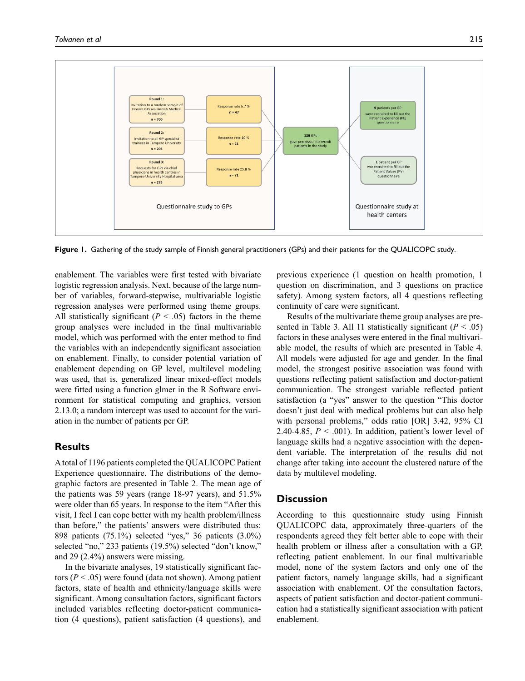

**Figure 1.** Gathering of the study sample of Finnish general practitioners (GPs) and their patients for the QUALICOPC study.

enablement. The variables were first tested with bivariate logistic regression analysis. Next, because of the large number of variables, forward-stepwise, multivariable logistic regression analyses were performed using theme groups. All statistically significant  $(P < .05)$  factors in the theme group analyses were included in the final multivariable model, which was performed with the enter method to find the variables with an independently significant association on enablement. Finally, to consider potential variation of enablement depending on GP level, multilevel modeling was used, that is, generalized linear mixed-effect models were fitted using a function glmer in the R Software environment for statistical computing and graphics, version 2.13.0; a random intercept was used to account for the variation in the number of patients per GP.

# **Results**

A total of 1196 patients completed the QUALICOPC Patient Experience questionnaire. The distributions of the demographic factors are presented in Table 2. The mean age of the patients was 59 years (range 18-97 years), and 51.5% were older than 65 years. In response to the item "After this visit, I feel I can cope better with my health problem/illness than before," the patients' answers were distributed thus: 898 patients (75.1%) selected "yes," 36 patients (3.0%) selected "no," 233 patients (19.5%) selected "don't know," and 29 (2.4%) answers were missing.

In the bivariate analyses, 19 statistically significant factors  $(P < .05)$  were found (data not shown). Among patient factors, state of health and ethnicity/language skills were significant. Among consultation factors, significant factors included variables reflecting doctor-patient communication (4 questions), patient satisfaction (4 questions), and previous experience (1 question on health promotion, 1 question on discrimination, and 3 questions on practice safety). Among system factors, all 4 questions reflecting continuity of care were significant.

Results of the multivariate theme group analyses are presented in Table 3. All 11 statistically significant  $(P < .05)$ factors in these analyses were entered in the final multivariable model, the results of which are presented in Table 4. All models were adjusted for age and gender. In the final model, the strongest positive association was found with questions reflecting patient satisfaction and doctor-patient communication. The strongest variable reflected patient satisfaction (a "yes" answer to the question "This doctor doesn't just deal with medical problems but can also help with personal problems," odds ratio [OR] 3.42, 95% CI 2.40-4.85,  $P < .001$ ). In addition, patient's lower level of language skills had a negative association with the dependent variable. The interpretation of the results did not change after taking into account the clustered nature of the data by multilevel modeling.

# **Discussion**

According to this questionnaire study using Finnish QUALICOPC data, approximately three-quarters of the respondents agreed they felt better able to cope with their health problem or illness after a consultation with a GP, reflecting patient enablement. In our final multivariable model, none of the system factors and only one of the patient factors, namely language skills, had a significant association with enablement. Of the consultation factors, aspects of patient satisfaction and doctor-patient communication had a statistically significant association with patient enablement.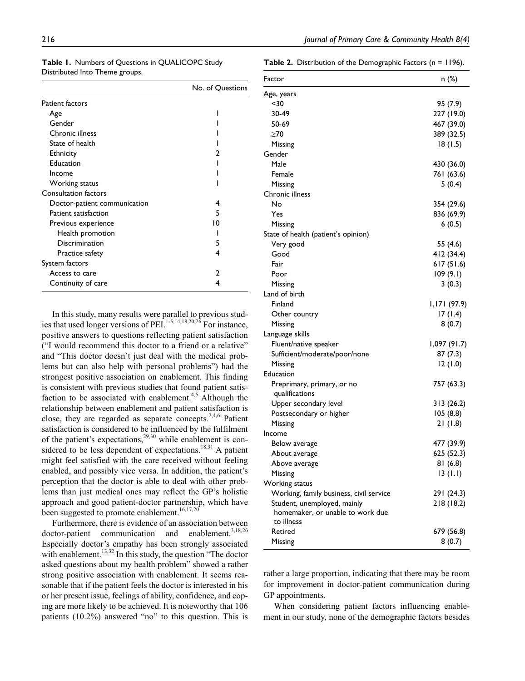|                              | No. of Questions |
|------------------------------|------------------|
| Patient factors              |                  |
| Age                          |                  |
| Gender                       |                  |
| Chronic illness              |                  |
| State of health              |                  |
| <b>Ethnicity</b>             |                  |
| Education                    |                  |
| Income                       |                  |
| Working status               |                  |
| <b>Consultation factors</b>  |                  |
| Doctor-patient communication | 4                |
| Patient satisfaction         | 5                |
| Previous experience          | 10               |
| Health promotion             |                  |
| Discrimination               | 5                |
| Practice safety              | 4                |
| System factors               |                  |
| Access to care               |                  |
| Continuity of care           |                  |
|                              |                  |

**Table 1.** Numbers of Questions in QUALICOPC Study Distributed Into Theme groups.

**Table 2.** Distribution of the Demographic Factors (n = 1196).

| Factor                                       | n (%)        |
|----------------------------------------------|--------------|
| Age, years                                   |              |
| <30                                          | 95 (7.9)     |
| 30-49                                        | 227 (19.0)   |
| 50-69                                        | 467 (39.0)   |
| $\geq 70$                                    | 389 (32.5)   |
| Missing                                      | 18 (1.5)     |
| Gender                                       |              |
| Male                                         | 430 (36.0)   |
| Female                                       | 761 (63.6)   |
| Missing                                      | 5(0.4)       |
| Chronic illness                              |              |
| No                                           | 354 (29.6)   |
| Yes                                          | 836 (69.9)   |
| Missing                                      | 6(0.5)       |
| State of health (patient's opinion)          |              |
| Very good                                    | 55 (4.6)     |
| Good                                         | 412 (34.4)   |
| Fair                                         | 617(51.6)    |
| Poor                                         | 109(9.1)     |
| Missing                                      | 3(0.3)       |
| Land of birth                                |              |
| Finland                                      | (97.9) ا1,ا  |
| Other country                                | 17(1.4)      |
| Missing                                      | 8(0.7)       |
| Language skills                              |              |
| Fluent/native speaker                        | (91.7) 1,097 |
| Sufficient/moderate/poor/none                | 87(7.3)      |
| Missing                                      | 12(1.0)      |
| Education                                    |              |
| Preprimary, primary, or no<br>qualifications | 757 (63.3)   |
| Upper secondary level                        | 313(26.2)    |
| Postsecondary or higher                      | 105(8.8)     |
| Missing                                      | 21 (1.8)     |
| Income                                       |              |
| Below average                                | 477 (39.9)   |
| About average                                | 625 (52.3)   |
| Above average                                | 81 (6.8)     |
| Missing                                      | 13 (T.I)     |
| Working status                               |              |
| Working, family business, civil service      | 291 (24.3)   |
| Student, unemployed, mainly                  | 218 (18.2)   |
| homemaker, or unable to work due             |              |
| to illness                                   |              |
| Retired                                      | 679 (56.8)   |
| Missing                                      | 8(0.7)       |

In this study, many results were parallel to previous studies that used longer versions of PEI.<sup>1-5,14,18,20,26</sup> For instance, positive answers to questions reflecting patient satisfaction ("I would recommend this doctor to a friend or a relative" and "This doctor doesn't just deal with the medical problems but can also help with personal problems") had the strongest positive association on enablement. This finding is consistent with previous studies that found patient satisfaction to be associated with enablement.<sup>4,5</sup> Although the relationship between enablement and patient satisfaction is close, they are regarded as separate concepts. $2,4,6$  Patient satisfaction is considered to be influenced by the fulfilment of the patient's expectations,  $29,30$  while enablement is considered to be less dependent of expectations.<sup>18,31</sup> A patient might feel satisfied with the care received without feeling enabled, and possibly vice versa. In addition, the patient's perception that the doctor is able to deal with other problems than just medical ones may reflect the GP's holistic approach and good patient-doctor partnership, which have been suggested to promote enablement.<sup>16,17,20</sup>

Furthermore, there is evidence of an association between doctor-patient communication and enablement.<sup>3,18,26</sup> Especially doctor's empathy has been strongly associated with enablement.<sup>13,32</sup> In this study, the question "The doctor asked questions about my health problem" showed a rather strong positive association with enablement. It seems reasonable that if the patient feels the doctor is interested in his or her present issue, feelings of ability, confidence, and coping are more likely to be achieved. It is noteworthy that 106 patients (10.2%) answered "no" to this question. This is

rather a large proportion, indicating that there may be room for improvement in doctor-patient communication during GP appointments.

When considering patient factors influencing enablement in our study, none of the demographic factors besides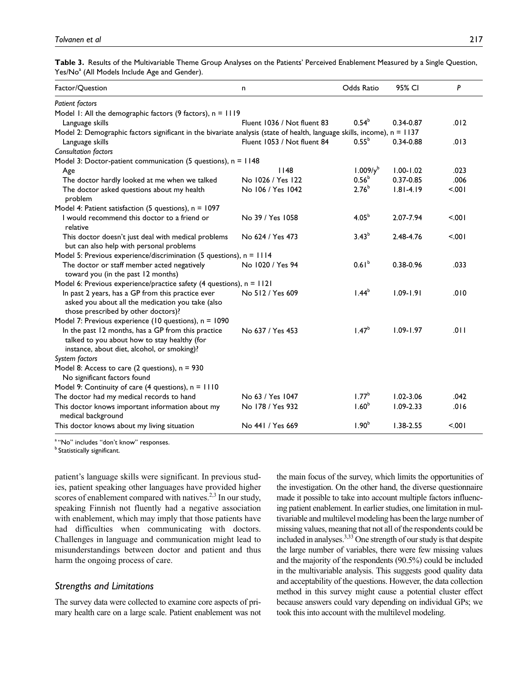**Table 3.** Results of the Multivariable Theme Group Analyses on the Patients' Perceived Enablement Measured by a Single Question, Yes/No<sup>a</sup> (All Models Include Age and Gender).

| Factor/Question                                                                                                                                   | n                           | Odds Ratio           | 95% CI        | P      |
|---------------------------------------------------------------------------------------------------------------------------------------------------|-----------------------------|----------------------|---------------|--------|
| <b>Patient factors</b>                                                                                                                            |                             |                      |               |        |
| Model 1: All the demographic factors (9 factors), $n = 1119$                                                                                      |                             |                      |               |        |
| Language skills                                                                                                                                   | Fluent 1036 / Not fluent 83 | 0.54 <sup>b</sup>    | 0.34-0.87     | .012   |
| Model 2: Demographic factors significant in the bivariate analysis (state of health, language skills, income), $n = 1137$                         |                             |                      |               |        |
| Language skills                                                                                                                                   | Fluent 1053 / Not fluent 84 | $0.55^{b}$           | $0.34 - 0.88$ | .013   |
| <b>Consultation factors</b>                                                                                                                       |                             |                      |               |        |
| Model 3: Doctor-patient communication (5 questions), $n = 1148$                                                                                   |                             |                      |               |        |
| Age                                                                                                                                               | 1148                        | 1.009/y <sup>b</sup> | $1.00 - 1.02$ | .023   |
| The doctor hardly looked at me when we talked                                                                                                     | No 1026 / Yes 122           | 0.56 <sup>b</sup>    | 0.37-0.85     | .006   |
| The doctor asked questions about my health<br>problem                                                                                             | No 106 / Yes 1042           | $2.76^{b}$           | $1.81 - 4.19$ | 5.001  |
| Model 4: Patient satisfaction (5 questions), $n = 1097$                                                                                           |                             |                      |               |        |
| I would recommend this doctor to a friend or<br>relative                                                                                          | No 39 / Yes 1058            | 4.05 <sup>b</sup>    | 2.07-7.94     | 5.001  |
| This doctor doesn't just deal with medical problems<br>but can also help with personal problems                                                   | No 624 / Yes 473            | $3.43^{b}$           | 2.48-4.76     | 5.001  |
| Model 5: Previous experience/discrimination (5 questions), $n = 1114$                                                                             |                             |                      |               |        |
| The doctor or staff member acted negatively<br>toward you (in the past 12 months)                                                                 | No 1020 / Yes 94            | 0.61 <sup>b</sup>    | 0.38-0.96     | .033   |
| Model 6: Previous experience/practice safety (4 questions), n = 1121                                                                              |                             |                      |               |        |
| In past 2 years, has a GP from this practice ever<br>asked you about all the medication you take (also<br>those prescribed by other doctors)?     | No 512 / Yes 609            | 1.44 <sup>b</sup>    | $1.09 - 1.91$ | .010   |
| Model 7: Previous experience (10 questions), $n = 1090$                                                                                           |                             |                      |               |        |
| In the past 12 months, has a GP from this practice<br>talked to you about how to stay healthy (for<br>instance, about diet, alcohol, or smoking)? | No 637 / Yes 453            | 1.47 <sup>b</sup>    | $1.09 - 1.97$ | .011   |
| System factors                                                                                                                                    |                             |                      |               |        |
| Model 8: Access to care (2 questions), $n = 930$                                                                                                  |                             |                      |               |        |
| No significant factors found                                                                                                                      |                             |                      |               |        |
| Model 9: Continuity of care (4 questions), $n = 1110$                                                                                             |                             |                      |               |        |
| The doctor had my medical records to hand                                                                                                         | No 63 / Yes 1047            | 1.77 <sup>b</sup>    | $1.02 - 3.06$ | .042   |
| This doctor knows important information about my<br>medical background                                                                            | No 178 / Yes 932            | 1.60 <sup>b</sup>    | $1.09 - 2.33$ | .016   |
| This doctor knows about my living situation                                                                                                       | No 441 / Yes 669            | 1.90 <sup>b</sup>    | $1.38 - 2.55$ | < .001 |

<sup>a</sup> "No" includes "don't know" responses.

**b** Statistically significant.

patient's language skills were significant. In previous studies, patient speaking other languages have provided higher scores of enablement compared with natives. $2,3$  In our study, speaking Finnish not fluently had a negative association with enablement, which may imply that those patients have had difficulties when communicating with doctors. Challenges in language and communication might lead to misunderstandings between doctor and patient and thus harm the ongoing process of care.

# *Strengths and Limitations*

The survey data were collected to examine core aspects of primary health care on a large scale. Patient enablement was not the main focus of the survey, which limits the opportunities of the investigation. On the other hand, the diverse questionnaire made it possible to take into account multiple factors influencing patient enablement. In earlier studies, one limitation in multivariable and multilevel modeling has been the large number of missing values, meaning that not all of the respondents could be included in analyses.3,33 One strength of our study is that despite the large number of variables, there were few missing values and the majority of the respondents (90.5%) could be included in the multivariable analysis. This suggests good quality data and acceptability of the questions. However, the data collection method in this survey might cause a potential cluster effect because answers could vary depending on individual GPs; we took this into account with the multilevel modeling.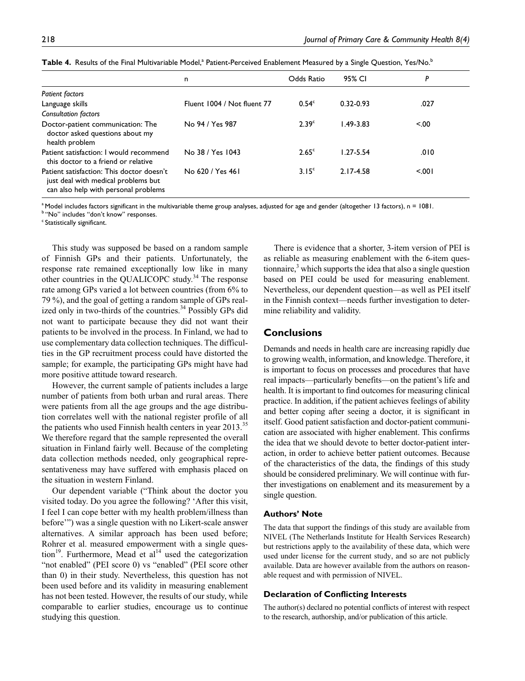|                                                                                                                          | n                           | Odds Ratio        | 95% CI        | P     |
|--------------------------------------------------------------------------------------------------------------------------|-----------------------------|-------------------|---------------|-------|
| <b>Patient factors</b>                                                                                                   |                             |                   |               |       |
| Language skills                                                                                                          | Fluent 1004 / Not fluent 77 | 0.54 <sup>c</sup> | $0.32 - 0.93$ | .027  |
| <b>Consultation factors</b>                                                                                              |                             |                   |               |       |
| Doctor-patient communication: The<br>doctor asked questions about my<br>health problem                                   | No 94 / Yes 987             | 2.39 <sup>c</sup> | $1.49 - 3.83$ | < 0.0 |
| Patient satisfaction: I would recommend<br>this doctor to a friend or relative                                           | No 38 / Yes 1043            | 2.65 <sup>c</sup> | $1.27 - 5.54$ | .010  |
| Patient satisfaction: This doctor doesn't<br>just deal with medical problems but<br>can also help with personal problems | No 620 / Yes 461            | 3.15 <sup>c</sup> | 2.17-4.58     | 5.001 |

 ${\sf Table~4.}$  Results of the Final Multivariable Model,<sup>a</sup> Patient-Perceived Enablement Measured by a Single Question, Yes/No.<sup>b</sup>

 $^{\circ}$  Model includes factors significant in the multivariable theme group analyses, adjusted for age and gender (altogether 13 factors), n = 1081.

b "No" includes "don't know" responses.

<sup>c</sup> Statistically significant.

This study was supposed be based on a random sample of Finnish GPs and their patients. Unfortunately, the response rate remained exceptionally low like in many other countries in the QUALICOPC study. $34$  The response rate among GPs varied a lot between countries (from 6% to 79 %), and the goal of getting a random sample of GPs realized only in two-thirds of the countries.<sup>34</sup> Possibly GPs did not want to participate because they did not want their patients to be involved in the process. In Finland, we had to use complementary data collection techniques. The difficulties in the GP recruitment process could have distorted the sample; for example, the participating GPs might have had more positive attitude toward research.

However, the current sample of patients includes a large number of patients from both urban and rural areas. There were patients from all the age groups and the age distribution correlates well with the national register profile of all the patients who used Finnish health centers in year 2013.<sup>35</sup> We therefore regard that the sample represented the overall situation in Finland fairly well. Because of the completing data collection methods needed, only geographical representativeness may have suffered with emphasis placed on the situation in western Finland.

Our dependent variable ("Think about the doctor you visited today. Do you agree the following? 'After this visit, I feel I can cope better with my health problem/illness than before'") was a single question with no Likert-scale answer alternatives. A similar approach has been used before; Rohrer et al. measured empowerment with a single question<sup>19</sup>. Furthermore, Mead et al<sup>14</sup> used the categorization "not enabled" (PEI score 0) vs "enabled" (PEI score other than 0) in their study. Nevertheless, this question has not been used before and its validity in measuring enablement has not been tested. However, the results of our study, while comparable to earlier studies, encourage us to continue studying this question.

There is evidence that a shorter, 3-item version of PEI is as reliable as measuring enablement with the 6-item questionnaire, $3$  which supports the idea that also a single question based on PEI could be used for measuring enablement. Nevertheless, our dependent question—as well as PEI itself in the Finnish context—needs further investigation to determine reliability and validity.

# **Conclusions**

Demands and needs in health care are increasing rapidly due to growing wealth, information, and knowledge. Therefore, it is important to focus on processes and procedures that have real impacts—particularly benefits—on the patient's life and health. It is important to find outcomes for measuring clinical practice. In addition, if the patient achieves feelings of ability and better coping after seeing a doctor, it is significant in itself. Good patient satisfaction and doctor-patient communication are associated with higher enablement. This confirms the idea that we should devote to better doctor-patient interaction, in order to achieve better patient outcomes. Because of the characteristics of the data, the findings of this study should be considered preliminary. We will continue with further investigations on enablement and its measurement by a single question.

## **Authors' Note**

The data that support the findings of this study are available from NIVEL (The Netherlands Institute for Health Services Research) but restrictions apply to the availability of these data, which were used under license for the current study, and so are not publicly available. Data are however available from the authors on reasonable request and with permission of NIVEL.

#### **Declaration of Conflicting Interests**

The author(s) declared no potential conflicts of interest with respect to the research, authorship, and/or publication of this article.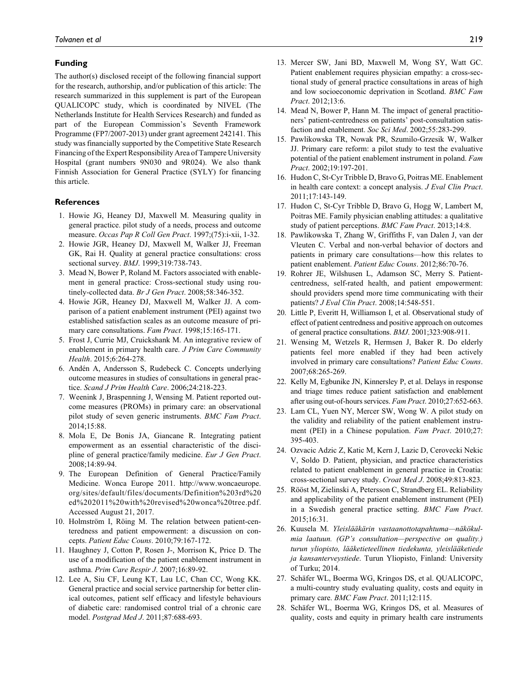#### **Funding**

The author(s) disclosed receipt of the following financial support for the research, authorship, and/or publication of this article: The research summarized in this supplement is part of the European QUALICOPC study, which is coordinated by NIVEL (The Netherlands Institute for Health Services Research) and funded as part of the European Commission's Seventh Framework Programme (FP7/2007-2013) under grant agreement 242141. This study was financially supported by the Competitive State Research Financing of the Expert Responsibility Area of Tampere University Hospital (grant numbers 9N030 and 9R024). We also thank Finnish Association for General Practice (SYLY) for financing this article.

#### **References**

- 1. Howie JG, Heaney DJ, Maxwell M. Measuring quality in general practice. pilot study of a needs, process and outcome measure. *Occas Pap R Coll Gen Pract*. 1997;(75):i-xii, 1-32.
- 2. Howie JGR, Heaney DJ, Maxwell M, Walker JJ, Freeman GK, Rai H. Quality at general practice consultations: cross sectional survey. *BMJ*. 1999;319:738-743.
- 3. Mead N, Bower P, Roland M. Factors associated with enablement in general practice: Cross-sectional study using routinely-collected data. *Br J Gen Pract*. 2008;58:346-352.
- 4. Howie JGR, Heaney DJ, Maxwell M, Walker JJ. A comparison of a patient enablement instrument (PEI) against two established satisfaction scales as an outcome measure of primary care consultations. *Fam Pract*. 1998;15:165-171.
- 5. Frost J, Currie MJ, Cruickshank M. An integrative review of enablement in primary health care. *J Prim Care Community Health*. 2015;6:264-278.
- 6. Andén A, Andersson S, Rudebeck C. Concepts underlying outcome measures in studies of consultations in general practice. *Scand J Prim Health Care*. 2006;24:218-223.
- 7. Weenink J, Braspenning J, Wensing M. Patient reported outcome measures (PROMs) in primary care: an observational pilot study of seven generic instruments. *BMC Fam Pract*. 2014;15:88.
- 8. Mola E, De Bonis JA, Giancane R. Integrating patient empowerment as an essential characteristic of the discipline of general practice/family medicine. *Eur J Gen Pract*. 2008;14:89-94.
- 9. The European Definition of General Practice/Family Medicine. Wonca Europe 2011. [http://www.woncaeurope.](http://www.woncaeurope.org/sites/default/files/documents/Definition%203rd%20ed%202011%20with%20revised%20wonca%20tree.pdf) [org/sites/default/files/documents/Definition%203rd%20](http://www.woncaeurope.org/sites/default/files/documents/Definition%203rd%20ed%202011%20with%20revised%20wonca%20tree.pdf) [ed%202011%20with%20revised%20wonca%20tree.pdf.](http://www.woncaeurope.org/sites/default/files/documents/Definition%203rd%20ed%202011%20with%20revised%20wonca%20tree.pdf) Accessed August 21, 2017.
- 10. Holmström I, Röing M. The relation between patient-centeredness and patient empowerment: a discussion on concepts. *Patient Educ Couns*. 2010;79:167-172.
- 11. Haughney J, Cotton P, Rosen J-, Morrison K, Price D. The use of a modification of the patient enablement instrument in asthma. *Prim Care Respir J*. 2007;16:89-92.
- 12. Lee A, Siu CF, Leung KT, Lau LC, Chan CC, Wong KK. General practice and social service partnership for better clinical outcomes, patient self efficacy and lifestyle behaviours of diabetic care: randomised control trial of a chronic care model. *Postgrad Med J*. 2011;87:688-693.
- 13. Mercer SW, Jani BD, Maxwell M, Wong SY, Watt GC. Patient enablement requires physician empathy: a cross-sectional study of general practice consultations in areas of high and low socioeconomic deprivation in Scotland. *BMC Fam Pract*. 2012;13:6.
- 14. Mead N, Bower P, Hann M. The impact of general practitioners' patient-centredness on patients' post-consultation satisfaction and enablement. *Soc Sci Med*. 2002;55:283-299.
- 15. Pawlikowska TR, Nowak PR, Szumilo-Grzesik W, Walker JJ. Primary care reform: a pilot study to test the evaluative potential of the patient enablement instrument in poland. *Fam Pract*. 2002;19:197-201.
- 16. Hudon C, St-Cyr Tribble D, Bravo G, Poitras ME. Enablement in health care context: a concept analysis. *J Eval Clin Pract*. 2011;17:143-149.
- 17. Hudon C, St-Cyr Tribble D, Bravo G, Hogg W, Lambert M, Poitras ME. Family physician enabling attitudes: a qualitative study of patient perceptions. *BMC Fam Pract*. 2013;14:8.
- 18. Pawlikowska T, Zhang W, Griffiths F, van Dalen J, van der Vleuten C. Verbal and non-verbal behavior of doctors and patients in primary care consultations—how this relates to patient enablement. *Patient Educ Couns*. 2012;86:70-76.
- 19. Rohrer JE, Wilshusen L, Adamson SC, Merry S. Patientcentredness, self-rated health, and patient empowerment: should providers spend more time communicating with their patients? *J Eval Clin Pract*. 2008;14:548-551.
- 20. Little P, Everitt H, Williamson I, et al. Observational study of effect of patient centredness and positive approach on outcomes of general practice consultations. *BMJ*. 2001;323:908-911.
- 21. Wensing M, Wetzels R, Hermsen J, Baker R. Do elderly patients feel more enabled if they had been actively involved in primary care consultations? *Patient Educ Couns*. 2007;68:265-269.
- 22. Kelly M, Egbunike JN, Kinnersley P, et al. Delays in response and triage times reduce patient satisfaction and enablement after using out-of-hours services. *Fam Pract*. 2010;27:652-663.
- 23. Lam CL, Yuen NY, Mercer SW, Wong W. A pilot study on the validity and reliability of the patient enablement instrument (PEI) in a Chinese population. *Fam Pract*. 2010;27: 395-403.
- 24. Ozvacic Adzic Z, Katic M, Kern J, Lazic D, Cerovecki Nekic V, Soldo D. Patient, physician, and practice characteristics related to patient enablement in general practice in Croatia: cross-sectional survey study. *Croat Med J*. 2008;49:813-823.
- 25. Rööst M, Zielinski A, Petersson C, Strandberg EL. Reliability and applicability of the patient enablement instrument (PEI) in a Swedish general practice setting. *BMC Fam Pract*. 2015;16:31.
- 26. Kuusela M. *Yleislääkärin vastaanottotapahtuma—näkökulmia laatuun. (GP's consultation—perspective on quality.) turun yliopisto, lääketieteellinen tiedekunta, yleislääketiede ja kansanterveystiede*. Turun Yliopisto, Finland: University of Turku; 2014.
- 27. Schäfer WL, Boerma WG, Kringos DS, et al. QUALICOPC, a multi-country study evaluating quality, costs and equity in primary care. *BMC Fam Pract*. 2011;12:115.
- 28. Schäfer WL, Boerma WG, Kringos DS, et al. Measures of quality, costs and equity in primary health care instruments